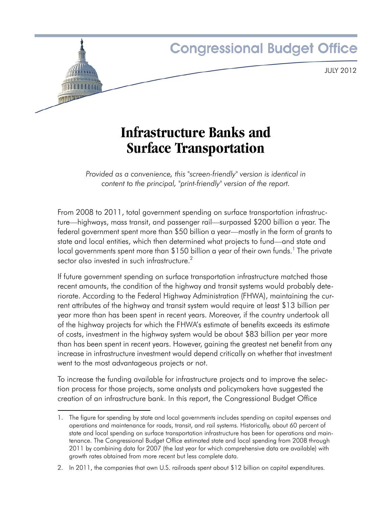

# **Infrastructure Banks and Surface Transportation**

*Provided as a convenience, this "screen-friendly" version is identical in content to the principal, "print-friendly" version of the report.*

From 2008 to 2011, total government spending on surface transportation infrastructure—highways, mass transit, and passenger rail—surpassed \$200 billion a year. The federal government spent more than \$50 billion a year—mostly in the form of grants to state and local entities, which then determined what projects to fund—and state and local governments spent more than \$150 billion a year of their own funds.<sup>1</sup> The private sector also invested in such infrastructure.<sup>2</sup>

If future government spending on surface transportation infrastructure matched those recent amounts, the condition of the highway and transit systems would probably deteriorate. According to the Federal Highway Administration (FHWA), maintaining the current attributes of the highway and transit system would require at least \$13 billion per year more than has been spent in recent years. Moreover, if the country undertook all of the highway projects for which the FHWA's estimate of benefits exceeds its estimate of costs, investment in the highway system would be about \$83 billion per year more than has been spent in recent years. However, gaining the greatest net benefit from any increase in infrastructure investment would depend critically on whether that investment went to the most advantageous projects or not.

To increase the funding available for infrastructure projects and to improve the selection process for those projects, some analysts and policymakers have suggested the creation of an infrastructure bank. In this report, the Congressional Budget Office

<sup>1.</sup> The figure for spending by state and local governments includes spending on capital expenses and operations and maintenance for roads, transit, and rail systems. Historically, about 60 percent of state and local spending on surface transportation infrastructure has been for operations and maintenance. The Congressional Budget Office estimated state and local spending from 2008 through 2011 by combining data for 2007 (the last year for which comprehensive data are available) with growth rates obtained from more recent but less complete data.

<sup>2.</sup> In 2011, the companies that own U.S. railroads spent about \$12 billion on capital expenditures.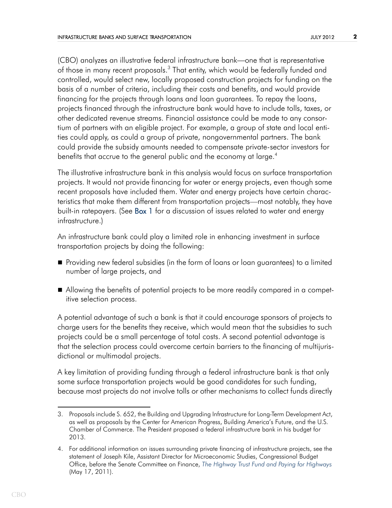(CBO) analyzes an illustrative federal infrastructure bank—one that is representative of those in many recent proposals.<sup>3</sup> That entity, which would be federally funded and controlled, would select new, locally proposed construction projects for funding on the basis of a number of criteria, including their costs and benefits, and would provide financing for the projects through loans and loan guarantees. To repay the loans, projects financed through the infrastructure bank would have to include tolls, taxes, or other dedicated revenue streams. Financial assistance could be made to any consortium of partners with an eligible project. For example, a group of state and local entities could apply, as could a group of private, nongovernmental partners. The bank could provide the subsidy amounts needed to compensate private-sector investors for benefits that accrue to the general public and the economy at large.<sup>4</sup>

<span id="page-1-0"></span>The illustrative infrastructure bank in this analysis would focus on surface transportation projects. It would not provide financing for water or energy projects, even though some recent proposals have included them. Water and energy projects have certain characteristics that make them different from transportation projects—most notably, they have built-in ratepayers. (See [Box 1](#page-12-0) for a discussion of issues related to water and energy infrastructure.)

An infrastructure bank could play a limited role in enhancing investment in surface transportation projects by doing the following:

- Providing new federal subsidies (in the form of loans or loan guarantees) to a limited number of large projects, and
- Allowing the benefits of potential projects to be more readily compared in a competitive selection process.

A potential advantage of such a bank is that it could encourage sponsors of projects to charge users for the benefits they receive, which would mean that the subsidies to such projects could be a small percentage of total costs. A second potential advantage is that the selection process could overcome certain barriers to the financing of multijurisdictional or multimodal projects.

A key limitation of providing funding through a federal infrastructure bank is that only some surface transportation projects would be good candidates for such funding, because most projects do not involve tolls or other mechanisms to collect funds directly

<sup>3.</sup> Proposals include S. 652, the Building and Upgrading Infrastructure for Long-Term Development Act, as well as proposals by the Center for American Progress, Building America's Future, and the U.S. Chamber of Commerce. The President proposed a federal infrastructure bank in his budget for 2013.

<sup>4.</sup> For additional information on issues surrounding private financing of infrastructure projects, see the statement of Joseph Kile, Assistant Director for Microeconomic Studies, Congressional Budget Office, before the Senate Committee on Finance, *[The Highway Trust Fund and Paying for Highways](http://www.cbo.gov/publication/41455)*  (May 17, 2011).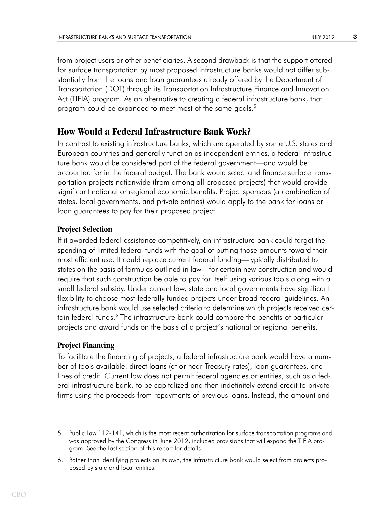from project users or other beneficiaries. A second drawback is that the support offered for surface transportation by most proposed infrastructure banks would not differ substantially from the loans and loan guarantees already offered by the Department of Transportation (DOT) through its Transportation Infrastructure Finance and Innovation Act (TIFIA) program. As an alternative to creating a federal infrastructure bank, that program could be expanded to meet most of the same goals.<sup>5</sup>

# **How Would a Federal Infrastructure Bank Work?**

In contrast to existing infrastructure banks, which are operated by some U.S. states and European countries and generally function as independent entities, a federal infrastructure bank would be considered part of the federal government—and would be accounted for in the federal budget. The bank would select and finance surface transportation projects nationwide (from among all proposed projects) that would provide significant national or regional economic benefits. Project sponsors (a combination of states, local governments, and private entities) would apply to the bank for loans or loan guarantees to pay for their proposed project.

## **Project Selection**

If it awarded federal assistance competitively, an infrastructure bank could target the spending of limited federal funds with the goal of putting those amounts toward their most efficient use. It could replace current federal funding—typically distributed to states on the basis of formulas outlined in law—for certain new construction and would require that such construction be able to pay for itself using various tools along with a small federal subsidy. Under current law, state and local governments have significant flexibility to choose most federally funded projects under broad federal guidelines. An infrastructure bank would use selected criteria to determine which projects received certain federal funds.<sup>6</sup> The infrastructure bank could compare the benefits of particular projects and award funds on the basis of a project's national or regional benefits.

## **Project Financing**

To facilitate the financing of projects, a federal infrastructure bank would have a number of tools available: direct loans (at or near Treasury rates), loan guarantees, and lines of credit. Current law does not permit federal agencies or entities, such as a federal infrastructure bank, to be capitalized and then indefinitely extend credit to private firms using the proceeds from repayments of previous loans. Instead, the amount and

<sup>5.</sup> Public Law 112-141, which is the most recent authorization for surface transportation programs and was approved by the Congress in June 2012, included provisions that will expand the TIFIA program. See the last section of this report for details.

<sup>6.</sup> Rather than identifying projects on its own, the infrastructure bank would select from projects proposed by state and local entities.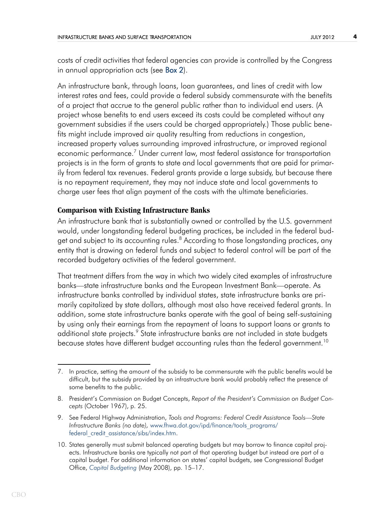<span id="page-3-0"></span>costs of credit activities that federal agencies can provide is controlled by the Congress in annual appropriation acts (see [Box 2\)](#page-13-0).

An infrastructure bank, through loans, loan guarantees, and lines of credit with low interest rates and fees, could provide a federal subsidy commensurate with the benefits of a project that accrue to the general public rather than to individual end users. (A project whose benefits to end users exceed its costs could be completed without any government subsidies if the users could be charged appropriately.) Those public benefits might include improved air quality resulting from reductions in congestion, increased property values surrounding improved infrastructure, or improved regional economic performance.<sup>7</sup> Under current law, most federal assistance for transportation projects is in the form of grants to state and local governments that are paid for primarily from federal tax revenues. Federal grants provide a large subsidy, but because there is no repayment requirement, they may not induce state and local governments to charge user fees that align payment of the costs with the ultimate beneficiaries.

### **Comparison with Existing Infrastructure Banks**

An infrastructure bank that is substantially owned or controlled by the U.S. government would, under longstanding federal budgeting practices, be included in the federal budget and subject to its accounting rules.<sup>8</sup> According to those longstanding practices, any entity that is drawing on federal funds and subject to federal control will be part of the recorded budgetary activities of the federal government.

That treatment differs from the way in which two widely cited examples of infrastructure banks—state infrastructure banks and the European Investment Bank—operate. As infrastructure banks controlled by individual states, state infrastructure banks are primarily capitalized by state dollars, although most also have received federal grants. In addition, some state infrastructure banks operate with the goal of being self-sustaining by using only their earnings from the repayment of loans to support loans or grants to additional state projects.<sup>9</sup> State infrastructure banks are not included in state budgets because states have different budget accounting rules than the federal government.<sup>10</sup>

<sup>7.</sup> In practice, setting the amount of the subsidy to be commensurate with the public benefits would be difficult, but the subsidy provided by an infrastructure bank would probably reflect the presence of some benefits to the public.

<sup>8.</sup> President's Commission on Budget Concepts, *Report of the President's Commission on Budget Concepts* (October 1967), p. 25.

<sup>9.</sup> See Federal Highway Administration, *Tools and Programs: Federal Credit Assistance Tools—State Infrastructure Banks (no date),* [www.fhwa.dot.gov/ipd/finance/tools\\_programs/](http://www.fhwa.dot.gov/ipd/finance/tools_programs/federal_credit_assistance/sibs/index.htm) federal credit assistance/sibs/index.htm.

<sup>10.</sup> States generally must submit balanced operating budgets but may borrow to finance capital projects. Infrastructure banks are typically not part of that operating budget but instead are part of a capital budget. For additional information on states' capital budgets, see Congressional Budget Office, *[Capital Budgeting](http://www.cbo.gov/publication/41689)* (May 2008), pp. 15–17.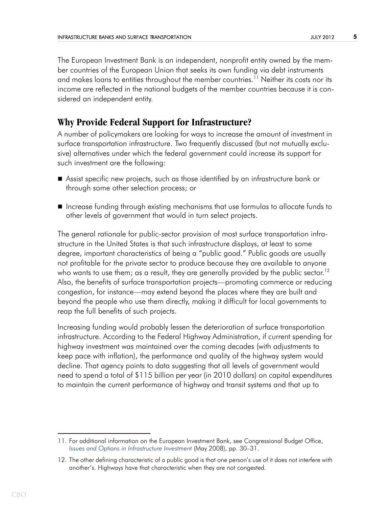The European Investment Bank is an independent, nonprofit entity owned by the member countries of the European Union that seeks its own funding via debt instruments and makes loans to entities throughout the member countries.<sup>11</sup> Neither its costs nor its income are reflected in the national budgets of the member countries because it is considered an independent entity.

# **Why Provide Federal Support for Infrastructure?**

A number of policymakers are looking for ways to increase the amount of investment in surface transportation infrastructure. Two frequently discussed (but not mutually exclusive) alternatives under which the federal government could increase its support for such investment are the following:

- Assist specific new projects, such as those identified by an infrastructure bank or through some other selection process; or
- Increase funding through existing mechanisms that use formulas to allocate funds to other levels of government that would in turn select projects.

The general rationale for public-sector provision of most surface transportation infrastructure in the United States is that such infrastructure displays, at least to some degree, important characteristics of being a "public good." Public goods are usually not profitable for the private sector to produce because they are available to anyone who wants to use them; as a result, they are generally provided by the public sector.<sup>12</sup> Also, the benefits of surface transportation projects—promoting commerce or reducing congestion, for instance—may extend beyond the places where they are built and beyond the people who use them directly, making it difficult for local governments to reap the full benefits of such projects.

Increasing funding would probably lessen the deterioration of surface transportation infrastructure. According to the Federal Highway Administration, if current spending for highway investment was maintained over the coming decades (with adjustments to keep pace with inflation), the performance and quality of the highway system would decline. That agency points to data suggesting that all levels of government would need to spend a total of \$115 billion per year (in 2010 dollars) on capital expenditures to maintain the current performance of highway and transit systems and that up to

<sup>11.</sup> For additional information on the European Investment Bank, see Congressional Budget Office, *[Issues and Options in Infrastructure Investment](http://www.cbo.gov/publication/19633)* (May 2008), pp. 30–31.

<sup>12.</sup> The other defining characteristic of a public good is that one person's use of it does not interfere with another's. Highways have that characteristic when they are not congested.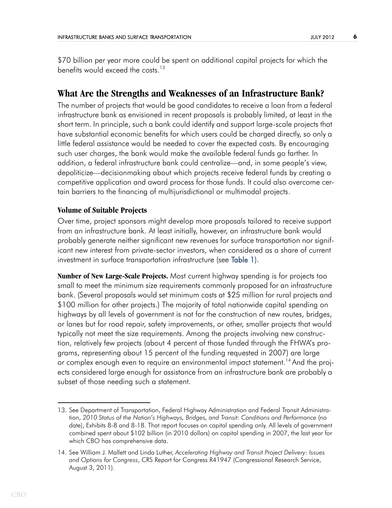\$70 billion per year more could be spent on additional capital projects for which the benefits would exceed the costs.<sup>13</sup>

# **What Are the Strengths and Weaknesses of an Infrastructure Bank?**

The number of projects that would be good candidates to receive a loan from a federal infrastructure bank as envisioned in recent proposals is probably limited, at least in the short term. In principle, such a bank could identify and support large-scale projects that have substantial economic benefits for which users could be charged directly, so only a little federal assistance would be needed to cover the expected costs. By encouraging such user charges, the bank would make the available federal funds go farther. In addition, a federal infrastructure bank could centralize—and, in some people's view, depoliticize—decisionmaking about which projects receive federal funds by creating a competitive application and award process for those funds. It could also overcome certain barriers to the financing of multijurisdictional or multimodal projects.

### **Volume of Suitable Projects**

<span id="page-5-0"></span>Over time, project sponsors might develop more proposals tailored to receive support from an infrastructure bank. At least initially, however, an infrastructure bank would probably generate neither significant new revenues for surface transportation nor significant new interest from private-sector investors, when considered as a share of current investment in surface transportation infrastructure (see [Table 1\)](#page-15-0).

**Number of New Large-Scale Projects.** Most current highway spending is for projects too small to meet the minimum size requirements commonly proposed for an infrastructure bank. (Several proposals would set minimum costs at \$25 million for rural projects and \$100 million for other projects.) The majority of total nationwide capital spending on highways by all levels of government is not for the construction of new routes, bridges, or lanes but for road repair, safety improvements, or other, smaller projects that would typically not meet the size requirements. Among the projects involving new construction, relatively few projects (about 4 percent of those funded through the FHWA's programs, representing about 15 percent of the funding requested in 2007) are large or complex enough even to require an environmental impact statement.<sup>14</sup> And the projects considered large enough for assistance from an infrastructure bank are probably a subset of those needing such a statement.

<sup>13.</sup> See Department of Transportation, Federal Highway Administration and Federal Transit Administration, *2010 Status of the Nation's Highways, Bridges, and Transit: Conditions and Performance* (no date), Exhibits 8-8 and 8-18. That report focuses on capital spending only. All levels of government combined spent about \$102 billion (in 2010 dollars) on capital spending in 2007, the last year for which CBO has comprehensive data.

<sup>14.</sup> See William J. Mallett and Linda Luther, *Accelerating Highway and Transit Project Delivery: Issues and Options for Congress*, CRS Report for Congress R41947 (Congressional Research Service, August 3, 2011).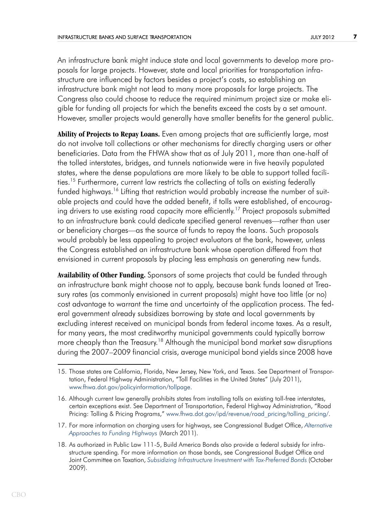An infrastructure bank might induce state and local governments to develop more proposals for large projects. However, state and local priorities for transportation infrastructure are influenced by factors besides a project's costs, so establishing an infrastructure bank might not lead to many more proposals for large projects. The Congress also could choose to reduce the required minimum project size or make eligible for funding all projects for which the benefits exceed the costs by a set amount. However, smaller projects would generally have smaller benefits for the general public.

**Ability of Projects to Repay Loans.** Even among projects that are sufficiently large, most do not involve toll collections or other mechanisms for directly charging users or other beneficiaries. Data from the FHWA show that as of July 2011, more than one-half of the tolled interstates, bridges, and tunnels nationwide were in five heavily populated states, where the dense populations are more likely to be able to support tolled facilities.<sup>15</sup> Furthermore, current law restricts the collecting of tolls on existing federally funded highways.<sup>16</sup> Lifting that restriction would probably increase the number of suitable projects and could have the added benefit, if tolls were established, of encouraging drivers to use existing road capacity more efficiently.<sup>17</sup> Project proposals submitted to an infrastructure bank could dedicate specified general revenues—rather than user or beneficiary charges—as the source of funds to repay the loans. Such proposals would probably be less appealing to project evaluators at the bank, however, unless the Congress established an infrastructure bank whose operation differed from that envisioned in current proposals by placing less emphasis on generating new funds.

**Availability of Other Funding.** Sponsors of some projects that could be funded through an infrastructure bank might choose not to apply, because bank funds loaned at Treasury rates (as commonly envisioned in current proposals) might have too little (or no) cost advantage to warrant the time and uncertainty of the application process. The federal government already subsidizes borrowing by state and local governments by excluding interest received on municipal bonds from federal income taxes. As a result, for many years, the most creditworthy municipal governments could typically borrow more cheaply than the Treasury.<sup>18</sup> Although the municipal bond market saw disruptions during the 2007–2009 financial crisis, average municipal bond yields since 2008 have

<sup>15.</sup> Those states are California, Florida, New Jersey, New York, and Texas. See Department of Transportation, Federal Highway Administration, "Toll Facilities in the United States" (July 2011), [www.fhwa.dot.gov/policyinformation/tollpage.](http://www.fhwa.dot.gov/policyinformation/tollpage)

<sup>16.</sup> Although current law generally prohibits states from installing tolls on existing toll-free interstates, certain exceptions exist. See Department of Transportation, Federal Highway Administration, "Road Pricing: Tolling & Pricing Programs," [www.fhwa.dot.gov/ipd/revenue/road\\_pricing/tolling\\_pricing/.](http://www.fhwa.dot.gov/ipd/revenue/road_pricing/tolling_pricing)

<sup>17.</sup> For more information on charging users for highways, see Congressional Budget Office, *[Alternative](http://www.cbo.gov/publication/22059)  [Approaches to Funding Highways](http://www.cbo.gov/publication/22059)* (March 2011).

<sup>18.</sup> As authorized in Public Law 111-5, Build America Bonds also provide a federal subsidy for infrastructure spending. For more information on those bonds, see Congressional Budget Office and Joint Committee on Taxation, *[Subsidizing Infrastructure Investment with Tax-Preferred Bonds](http://www.cbo.gov/publication/41359)* (October 2009).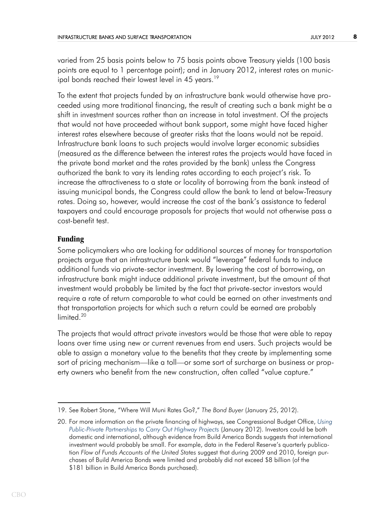varied from 25 basis points below to 75 basis points above Treasury yields (100 basis points are equal to 1 percentage point); and in January 2012, interest rates on municipal bonds reached their lowest level in 45 years.<sup>19</sup>

To the extent that projects funded by an infrastructure bank would otherwise have proceeded using more traditional financing, the result of creating such a bank might be a shift in investment sources rather than an increase in total investment. Of the projects that would not have proceeded without bank support, some might have faced higher interest rates elsewhere because of greater risks that the loans would not be repaid. Infrastructure bank loans to such projects would involve larger economic subsidies (measured as the difference between the interest rates the projects would have faced in the private bond market and the rates provided by the bank) unless the Congress authorized the bank to vary its lending rates according to each project's risk. To increase the attractiveness to a state or locality of borrowing from the bank instead of issuing municipal bonds, the Congress could allow the bank to lend at below-Treasury rates. Doing so, however, would increase the cost of the bank's assistance to federal taxpayers and could encourage proposals for projects that would not otherwise pass a cost-benefit test.

### **Funding**

Some policymakers who are looking for additional sources of money for transportation projects argue that an infrastructure bank would "leverage" federal funds to induce additional funds via private-sector investment. By lowering the cost of borrowing, an infrastructure bank might induce additional private investment, but the amount of that investment would probably be limited by the fact that private-sector investors would require a rate of return comparable to what could be earned on other investments and that transportation projects for which such a return could be earned are probably limited<sup>20</sup>

The projects that would attract private investors would be those that were able to repay loans over time using new or current revenues from end users. Such projects would be able to assign a monetary value to the benefits that they create by implementing some sort of pricing mechanism—like a toll—or some sort of surcharge on business or property owners who benefit from the new construction, often called "value capture."

<sup>19.</sup> See Robert Stone, "Where Will Muni Rates Go?," *The Bond Buyer* (January 25, 2012).

<sup>20.</sup> For more information on the private financing of highways, see Congressional Budget Office, *[Using](http://www.cbo.gov/publication/42685)  [Public-Private Partnerships to Carry Out Highway Projects](http://www.cbo.gov/publication/42685)* (January 2012). Investors could be both domestic and international, although evidence from Build America Bonds suggests that international investment would probably be small. For example, data in the Federal Reserve's quarterly publication *Flow of Funds Accounts of the United States* suggest that during 2009 and 2010, foreign purchases of Build America Bonds were limited and probably did not exceed \$8 billion (of the \$181 billion in Build America Bonds purchased).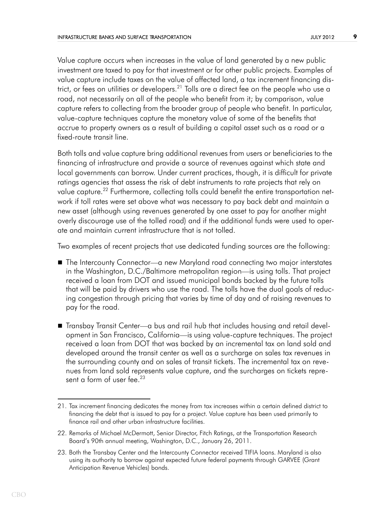Value capture occurs when increases in the value of land generated by a new public investment are taxed to pay for that investment or for other public projects. Examples of value capture include taxes on the value of affected land, a tax increment financing district, or fees on utilities or developers.21 Tolls are a direct fee on the people who use a road, not necessarily on all of the people who benefit from it; by comparison, value capture refers to collecting from the broader group of people who benefit. In particular, value-capture techniques capture the monetary value of some of the benefits that accrue to property owners as a result of building a capital asset such as a road or a fixed-route transit line.

Both tolls and value capture bring additional revenues from users or beneficiaries to the financing of infrastructure and provide a source of revenues against which state and local governments can borrow. Under current practices, though, it is difficult for private ratings agencies that assess the risk of debt instruments to rate projects that rely on value capture.<sup>22</sup> Furthermore, collecting tolls could benefit the entire transportation network if toll rates were set above what was necessary to pay back debt and maintain a new asset (although using revenues generated by one asset to pay for another might overly discourage use of the tolled road) and if the additional funds were used to operate and maintain current infrastructure that is not tolled.

Two examples of recent projects that use dedicated funding sources are the following:

- The Intercounty Connector—a new Maryland road connecting two major interstates in the Washington, D.C./Baltimore metropolitan region—is using tolls. That project received a loan from DOT and issued municipal bonds backed by the future tolls that will be paid by drivers who use the road. The tolls have the dual goals of reducing congestion through pricing that varies by time of day and of raising revenues to pay for the road.
- Transbay Transit Center—a bus and rail hub that includes housing and retail development in San Francisco, California—is using value-capture techniques. The project received a loan from DOT that was backed by an incremental tax on land sold and developed around the transit center as well as a surcharge on sales tax revenues in the surrounding county and on sales of transit tickets. The incremental tax on revenues from land sold represents value capture, and the surcharges on tickets represent a form of user fee.<sup>23</sup>

<sup>21.</sup> Tax increment financing dedicates the money from tax increases within a certain defined district to financing the debt that is issued to pay for a project. Value capture has been used primarily to finance rail and other urban infrastructure facilities.

<sup>22.</sup> Remarks of Michael McDermott, Senior Director, Fitch Ratings, at the Transportation Research Board's 90th annual meeting, Washington, D.C., January 26, 2011.

<sup>23.</sup> Both the Transbay Center and the Intercounty Connector received TIFIA loans. Maryland is also using its authority to borrow against expected future federal payments through GARVEE (Grant Anticipation Revenue Vehicles) bonds.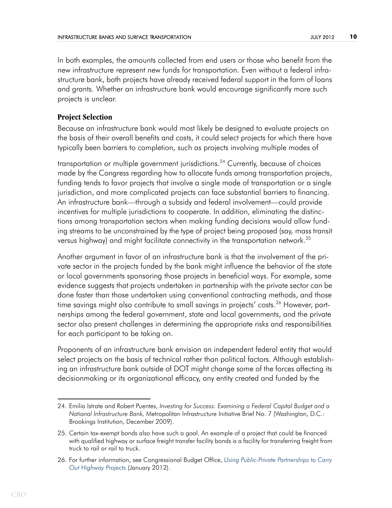In both examples, the amounts collected from end users or those who benefit from the new infrastructure represent new funds for transportation. Even without a federal infrastructure bank, both projects have already received federal support in the form of loans and grants. Whether an infrastructure bank would encourage significantly more such projects is unclear.

### **Project Selection**

Because an infrastructure bank would most likely be designed to evaluate projects on the basis of their overall benefits and costs, it could select projects for which there have typically been barriers to completion, such as projects involving multiple modes of

transportation or multiple government jurisdictions.<sup>24</sup> Currently, because of choices made by the Congress regarding how to allocate funds among transportation projects, funding tends to favor projects that involve a single mode of transportation or a single jurisdiction, and more complicated projects can face substantial barriers to financing. An infrastructure bank—through a subsidy and federal involvement—could provide incentives for multiple jurisdictions to cooperate. In addition, eliminating the distinctions among transportation sectors when making funding decisions would allow funding streams to be unconstrained by the type of project being proposed (say, mass transit versus highway) and might facilitate connectivity in the transportation network.<sup>25</sup>

Another argument in favor of an infrastructure bank is that the involvement of the private sector in the projects funded by the bank might influence the behavior of the state or local governments sponsoring those projects in beneficial ways. For example, some evidence suggests that projects undertaken in partnership with the private sector can be done faster than those undertaken using conventional contracting methods, and those time savings might also contribute to small savings in projects' costs.<sup>26</sup> However, partnerships among the federal government, state and local governments, and the private sector also present challenges in determining the appropriate risks and responsibilities for each participant to be taking on.

Proponents of an infrastructure bank envision an independent federal entity that would select projects on the basis of technical rather than political factors. Although establishing an infrastructure bank outside of DOT might change some of the forces affecting its decisionmaking or its organizational efficacy, any entity created and funded by the

<sup>24.</sup> Emilia Istrate and Robert Puentes, *Investing for Success: Examining a Federal Capital Budget and a National Infrastructure Bank,* Metropolitan Infrastructure Initiative Brief No. 7 (Washington, D.C.: Brookings Institution, December 2009).

<sup>25.</sup> Certain tax-exempt bonds also have such a goal. An example of a project that could be financed with qualified highway or surface freight transfer facility bonds is a facility for transferring freight from truck to rail or rail to truck.

<sup>26.</sup> For further information, see Congressional Budget Office, *[Using Public-Private Partnerships to Carry](http://www.cbo.gov/publication/42685)  [Out Highway Projects](http://www.cbo.gov/publication/42685)* (January 2012).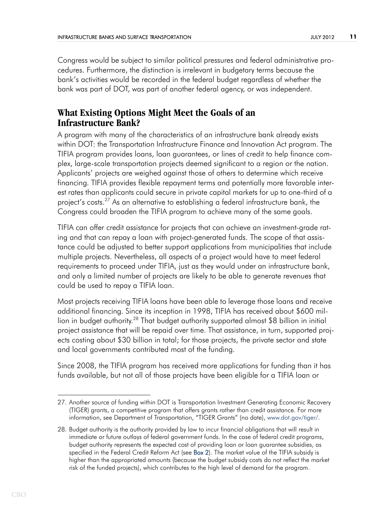Congress would be subject to similar political pressures and federal administrative procedures. Furthermore, the distinction is irrelevant in budgetary terms because the bank's activities would be recorded in the federal budget regardless of whether the bank was part of DOT, was part of another federal agency, or was independent.

# **What Existing Options Might Meet the Goals of an Infrastructure Bank?**

A program with many of the characteristics of an infrastructure bank already exists within DOT: the Transportation Infrastructure Finance and Innovation Act program. The TIFIA program provides loans, loan guarantees, or lines of credit to help finance complex, large-scale transportation projects deemed significant to a region or the nation. Applicants' projects are weighed against those of others to determine which receive financing. TIFIA provides flexible repayment terms and potentially more favorable interest rates than applicants could secure in private capital markets for up to one-third of a project's costs.<sup>27</sup> As an alternative to establishing a federal infrastructure bank, the Congress could broaden the TIFIA program to achieve many of the same goals.

TIFIA can offer credit assistance for projects that can achieve an investment-grade rating and that can repay a loan with project-generated funds. The scope of that assistance could be adjusted to better support applications from municipalities that include multiple projects. Nevertheless, all aspects of a project would have to meet federal requirements to proceed under TIFIA, just as they would under an infrastructure bank, and only a limited number of projects are likely to be able to generate revenues that could be used to repay a TIFIA loan.

Most projects receiving TIFIA loans have been able to leverage those loans and receive additional financing. Since its inception in 1998, TIFIA has received about \$600 million in budget authority.<sup>28</sup> That budget authority supported almost \$8 billion in initial project assistance that will be repaid over time. That assistance, in turn, supported projects costing about \$30 billion in total; for those projects, the private sector and state and local governments contributed most of the funding.

Since 2008, the TIFIA program has received more applications for funding than it has funds available, but not all of those projects have been eligible for a TIFIA loan or

<sup>27.</sup> Another source of funding within DOT is Transportation Investment Generating Economic Recovery (TIGER) grants, a competitive program that offers grants rather than credit assistance. For more information, see Department of Transportation, "TIGER Grants" (no date), [www.dot.gov/tiger/](http://www.dot.gov/tiger).

<span id="page-10-0"></span><sup>28.</sup> Budget authority is the authority provided by law to incur financial obligations that will result in immediate or future outlays of federal government funds. In the case of federal credit programs, budget authority represents the expected cost of providing loan or loan guarantee subsidies, as specified in the Federal Credit Reform Act (see [Box 2](#page-13-0)). The market value of the TIFIA subsidy is higher than the appropriated amounts (because the budget subsidy costs do not reflect the market risk of the funded projects), which contributes to the high level of demand for the program.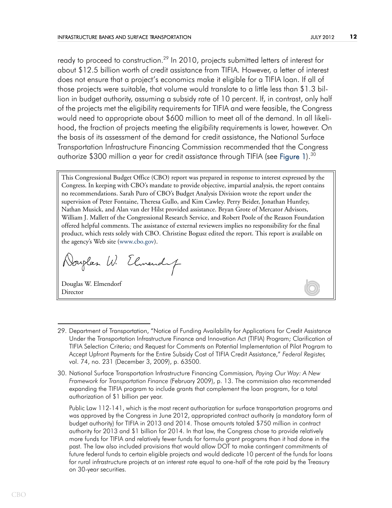<span id="page-11-0"></span>ready to proceed to construction.<sup>29</sup> In 2010, projects submitted letters of interest for about \$12.5 billion worth of credit assistance from TIFIA. However, a letter of interest does not ensure that a project's economics make it eligible for a TIFIA loan. If all of those projects were suitable, that volume would translate to a little less than \$1.3 billion in budget authority, assuming a subsidy rate of 10 percent. If, in contrast, only half of the projects met the eligibility requirements for TIFIA and were feasible, the Congress would need to appropriate about \$600 million to meet all of the demand. In all likelihood, the fraction of projects meeting the eligibility requirements is lower, however. On the basis of its assessment of the demand for credit assistance, the National Surface Transportation Infrastructure Financing Commission recommended that the Congress authorize \$300 million a year for credit assistance through TIFIA (see [Figure 1](#page-15-1)).<sup>30</sup>

This Congressional Budget Office (CBO) report was prepared in response to interest expressed by the Congress. In keeping with CBO's mandate to provide objective, impartial analysis, the report contains no recommendations. Sarah Puro of CBO's Budget Analysis Division wrote the report under the supervision of Peter Fontaine, Theresa Gullo, and Kim Cawley. Perry Beider, Jonathan Huntley, Nathan Musick, and Alan van der Hilst provided assistance. Bryan Grote of Mercator Advisors, William J. Mallett of the Congressional Research Service, and Robert Poole of the Reason Foundation offered helpful comments. The assistance of external reviewers implies no responsibility for the final product, which rests solely with CBO. Christine Bogusz edited the report. This report is available on the agency's Web site ([www.cbo.gov\)](http://www.cbo.gov).

Norglas W. Elmendy

Douglas W. Elmendorf Director

Public Law 112-141, which is the most recent authorization for surface transportation programs and was approved by the Congress in June 2012, appropriated contract authority (a mandatory form of budget authority) for TIFIA in 2013 and 2014. Those amounts totaled \$750 million in contract authority for 2013 and \$1 billion for 2014. In that law, the Congress chose to provide relatively more funds for TIFIA and relatively fewer funds for formula grant programs than it had done in the past. The law also included provisions that would allow DOT to make contingent commitments of future federal funds to certain eligible projects and would dedicate 10 percent of the funds for loans for rural infrastructure projects at an interest rate equal to one-half of the rate paid by the Treasury on 30-year securities.

<sup>29.</sup> Department of Transportation, "Notice of Funding Availability for Applications for Credit Assistance Under the Transportation Infrastructure Finance and Innovation Act (TIFIA) Program; Clarification of TIFIA Selection Criteria; and Request for Comments on Potential Implementation of Pilot Program to Accept Upfront Payments for the Entire Subsidy Cost of TIFIA Credit Assistance," *Federal Register,* vol. 74, no. 231 (December 3, 2009), p. 63500.

<sup>30.</sup> National Surface Transportation Infrastructure Financing Commission*, Paying Our Way: A New Framework for Transportation Finance* (February 2009), p. 13. The commission also recommended expanding the TIFIA program to include grants that complement the loan program, for a total authorization of \$1 billion per year.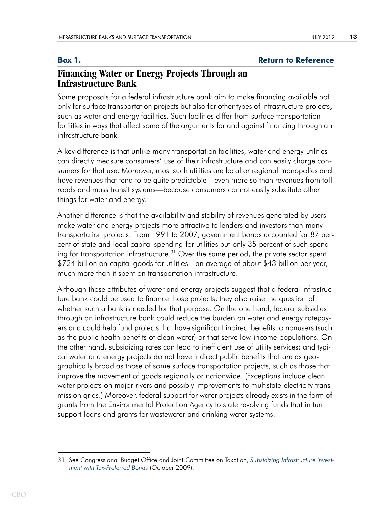### <span id="page-12-0"></span>**Box 1. Box 1. Return to Reference**

# **Financing Water or Energy Projects Through an Infrastructure Bank**

Some proposals for a federal infrastructure bank aim to make financing available not only for surface transportation projects but also for other types of infrastructure projects, such as water and energy facilities. Such facilities differ from surface transportation facilities in ways that affect some of the arguments for and against financing through an infrastructure bank.

A key difference is that unlike many transportation facilities, water and energy utilities can directly measure consumers' use of their infrastructure and can easily charge consumers for that use. Moreover, most such utilities are local or regional monopolies and have revenues that tend to be quite predictable—even more so than revenues from toll roads and mass transit systems—because consumers cannot easily substitute other things for water and energy.

Another difference is that the availability and stability of revenues generated by users make water and energy projects more attractive to lenders and investors than many transportation projects. From 1991 to 2007, government bonds accounted for 87 percent of state and local capital spending for utilities but only 35 percent of such spending for transportation infrastructure.<sup>31</sup> Over the same period, the private sector spent \$724 billion on capital goods for utilities—an average of about \$43 billion per year, much more than it spent on transportation infrastructure.

Although those attributes of water and energy projects suggest that a federal infrastructure bank could be used to finance those projects, they also raise the question of whether such a bank is needed for that purpose. On the one hand, federal subsidies through an infrastructure bank could reduce the burden on water and energy ratepayers and could help fund projects that have significant indirect benefits to nonusers (such as the public health benefits of clean water) or that serve low-income populations. On the other hand, subsidizing rates can lead to inefficient use of utility services; and typical water and energy projects do not have indirect public benefits that are as geographically broad as those of some surface transportation projects, such as those that improve the movement of goods regionally or nationwide. (Exceptions include clean water projects on major rivers and possibly improvements to multistate electricity transmission grids.) Moreover, federal support for water projects already exists in the form of grants from the Environmental Protection Agency to state revolving funds that in turn support loans and grants for wastewater and drinking water systems.

<sup>31.</sup> See Congressional Budget Office and Joint Committee on Taxation, *[Subsidizing Infrastructure Invest](http://www.cbo.gov/publication/41359)[ment with Tax-Preferred Bonds](http://www.cbo.gov/publication/41359)* (October 2009).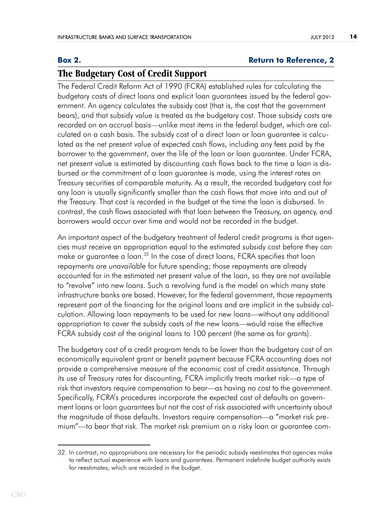### <span id="page-13-0"></span>**Box [2](#page-10-0). Return to Reference, 2**

# **The Budgetary Cost of Credit Support**

The Federal Credit Reform Act of 1990 (FCRA) established rules for calculating the budgetary costs of direct loans and explicit loan guarantees issued by the federal government. An agency calculates the subsidy cost (that is, the cost that the government bears), and that subsidy value is treated as the budgetary cost. Those subsidy costs are recorded on an accrual basis—unlike most items in the federal budget, which are calculated on a cash basis. The subsidy cost of a direct loan or loan guarantee is calculated as the net present value of expected cash flows, including any fees paid by the borrower to the government, over the life of the loan or loan guarantee. Under FCRA, net present value is estimated by discounting cash flows back to the time a loan is disbursed or the commitment of a loan guarantee is made, using the interest rates on Treasury securities of comparable maturity. As a result, the recorded budgetary cost for any loan is usually significantly smaller than the cash flows that move into and out of the Treasury. That cost is recorded in the budget at the time the loan is disbursed. In contrast, the cash flows associated with that loan between the Treasury, an agency, and borrowers would occur over time and would not be recorded in the budget.

An important aspect of the budgetary treatment of federal credit programs is that agencies must receive an appropriation equal to the estimated subsidy cost before they can make or guarantee a loan.<sup>32</sup> In the case of direct loans, FCRA specifies that loan repayments are unavailable for future spending; those repayments are already accounted for in the estimated net present value of the loan, so they are not available to "revolve" into new loans. Such a revolving fund is the model on which many state infrastructure banks are based. However, for the federal government, those repayments represent part of the financing for the original loans and are implicit in the subsidy calculation. Allowing loan repayments to be used for new loans—without any additional appropriation to cover the subsidy costs of the new loans—would raise the effective FCRA subsidy cost of the original loans to 100 percent (the same as for grants).

The budgetary cost of a credit program tends to be lower than the budgetary cost of an economically equivalent grant or benefit payment because FCRA accounting does not provide a comprehensive measure of the economic cost of credit assistance. Through its use of Treasury rates for discounting, FCRA implicitly treats market risk—a type of risk that investors require compensation to bear—as having no cost to the government. Specifically, FCRA's procedures incorporate the expected cost of defaults on government loans or loan guarantees but not the cost of risk associated with uncertainty about the magnitude of those defaults. Investors require compensation—a "market risk premium"—to bear that risk. The market risk premium on a risky loan or guarantee com-

<sup>32.</sup> In contrast, no appropriations are necessary for the periodic subsidy reestimates that agencies make to reflect actual experience with loans and guarantees. Permanent indefinite budget authority exists for reestimates, which are recorded in the budget.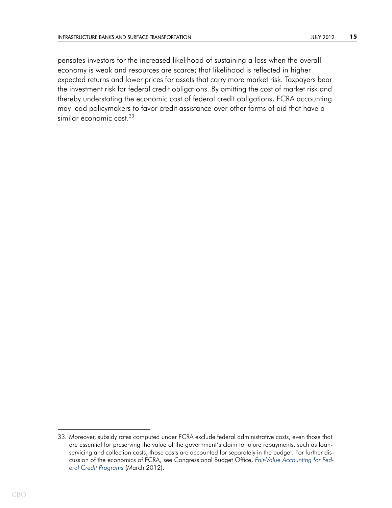pensates investors for the increased likelihood of sustaining a loss when the overall economy is weak and resources are scarce; that likelihood is reflected in higher expected returns and lower prices for assets that carry more market risk. Taxpayers bear the investment risk for federal credit obligations. By omitting the cost of market risk and thereby understating the economic cost of federal credit obligations, FCRA accounting may lead policymakers to favor credit assistance over other forms of aid that have a similar economic cost.<sup>33</sup>

<sup>33.</sup> Moreover, subsidy rates computed under FCRA exclude federal administrative costs, even those that are essential for preserving the value of the government's claim to future repayments, such as loanservicing and collection costs; those costs are accounted for separately in the budget. For further discussion of the economics of FCRA, see Congressional Budget Office, *[Fair-Value Accounting for Fed](http://www.cbo.gov/publication/43027)[eral Credit Programs](http://www.cbo.gov/publication/43027)* (March 2012).